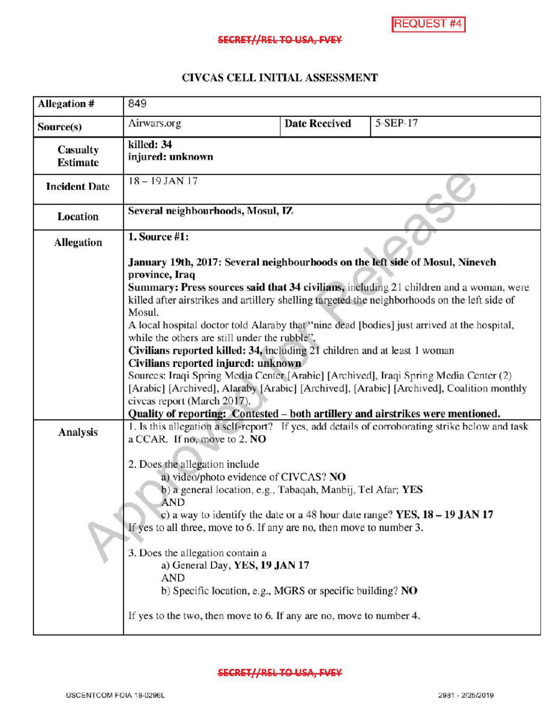**REQUEST #4** 

## SECRET//REL TO USA, FVEY

## CIVCAS CELL INITIAL ASSESSMENT

| <b>Allegation #</b>                | 849                                                                                                                                                                                                                                                                                                                                                                                                                                                                                                                                                              |                      |                                                                                                 |  |
|------------------------------------|------------------------------------------------------------------------------------------------------------------------------------------------------------------------------------------------------------------------------------------------------------------------------------------------------------------------------------------------------------------------------------------------------------------------------------------------------------------------------------------------------------------------------------------------------------------|----------------------|-------------------------------------------------------------------------------------------------|--|
| Source(s)                          | Airwars.org                                                                                                                                                                                                                                                                                                                                                                                                                                                                                                                                                      | <b>Date Received</b> | 5-SEP-17                                                                                        |  |
| <b>Casualty</b><br><b>Estimate</b> | killed: 34<br>injured: unknown                                                                                                                                                                                                                                                                                                                                                                                                                                                                                                                                   |                      |                                                                                                 |  |
| <b>Incident Date</b>               | 18-19 JAN 17                                                                                                                                                                                                                                                                                                                                                                                                                                                                                                                                                     |                      |                                                                                                 |  |
| <b>Location</b>                    | Several neighbourhoods, Mosul, IZ                                                                                                                                                                                                                                                                                                                                                                                                                                                                                                                                |                      |                                                                                                 |  |
| <b>Allegation</b>                  | 1. Source $#1$ :<br>January 19th, 2017: Several neighbourhoods on the left side of Mosul, Nineveh<br>province, Iraq<br>Summary: Press sources said that 34 civilians, including 21 children and a woman, were                                                                                                                                                                                                                                                                                                                                                    |                      |                                                                                                 |  |
|                                    | killed after airstrikes and artillery shelling targeted the neighborhoods on the left side of<br>Mosul.<br>A local hospital doctor told Alaraby that "nine dead [bodies] just arrived at the hospital,<br>while the others are still under the rubble".<br>Civilians reported killed: 34, including 21 children and at least 1 woman<br>Civilians reported injured: unknown<br>Sources: Iraqi Spring Media Center [Arabic] [Archived], Iraqi Spring Media Center (2)<br>[Arabic] [Archived], Alaraby [Arabic] [Archived], [Arabic] [Archived], Coalition monthly |                      |                                                                                                 |  |
|                                    | civcas report (March 2017),<br>Quality of reporting: Contested - both artillery and airstrikes were mentioned.                                                                                                                                                                                                                                                                                                                                                                                                                                                   |                      |                                                                                                 |  |
| Analysis                           | a CCAR. If no, move to 2. NO                                                                                                                                                                                                                                                                                                                                                                                                                                                                                                                                     |                      | 1. Is this allegation a self-report? If yes, add details of corroborating strike below and task |  |
|                                    | 2. Does the allegation include<br>a) video/photo evidence of CIVCAS? NO<br>b) a general location, e.g., Tabaqah, Manbij, Tel Afar; YES<br><b>AND</b><br>c) a way to identify the date or a 48 hour date range? YES, $18 - 19$ JAN 17<br>If yes to all three, move to 6. If any are no, then move to number 3.<br>3. Does the allegation contain a<br>a) General Day, YES, 19 JAN 17<br><b>AND</b><br>b) Specific location, e.g., MGRS or specific building? NO<br>If yes to the two, then move to 6. If any are no, move to number 4.                            |                      |                                                                                                 |  |